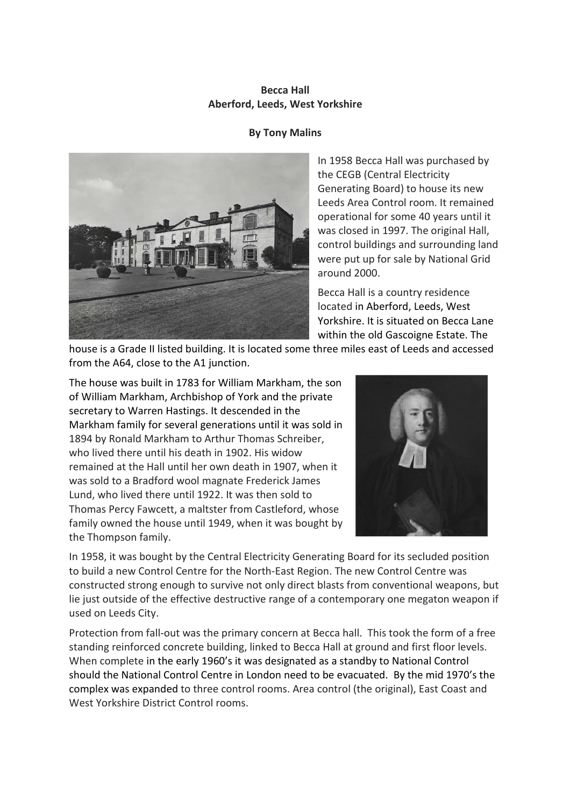## **Becca Hall Aberford, Leeds, West Yorkshire**

## **By Tony Malins**



In 1958 Becca Hall was purchased by the CEGB (Central Electricity Generating Board) to house its new Leeds Area Control room. It remained operational for some 40 years until it was closed in 1997. The original Hall, control buildings and surrounding land were put up for sale by National Grid around 2000.

Becca Hall is a country residence located in Aberford, Leeds, West Yorkshire. It is situated on Becca Lane within the old Gascoigne Estate. The

house is a Grade II listed building. It is located some three miles east of Leeds and accessed from the A64, close to the A1 junction.

The house was built in 1783 for William Markham, the son of William Markham, Archbishop of York and the private secretary to Warren Hastings. It descended in the Markham family for several generations until it was sold in 1894 by Ronald Markham to Arthur Thomas Schreiber, who lived there until his death in 1902. His widow remained at the Hall until her own death in 1907, when it was sold to a Bradford wool magnate Frederick James Lund, who lived there until 1922. It was then sold to Thomas Percy Fawcett, a maltster from Castleford, whose family owned the house until 1949, when it was bought by the Thompson family.



In 1958, it was bought by the Central Electricity Generating Board for its secluded position to build a new Control Centre for the North-East Region. The new Control Centre was constructed strong enough to survive not only direct blasts from conventional weapons, but lie just outside of the effective destructive range of a contemporary one megaton weapon if used on Leeds City.

Protection from fall-out was the primary concern at Becca hall. This took the form of a free standing reinforced concrete building, linked to Becca Hall at ground and first floor levels. When complete in the early 1960's it was designated as a standby to National Control should the National Control Centre in London need to be evacuated. By the mid 1970's the complex was expanded to three control rooms. Area control (the original), East Coast and West Yorkshire District Control rooms.